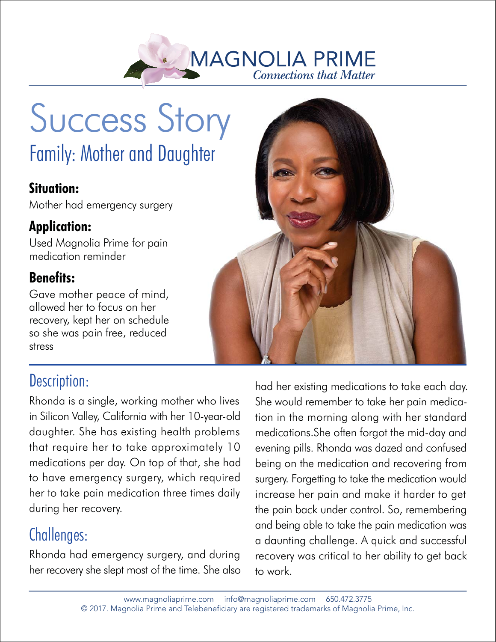

# Success Story Family: Mother and Daughter

#### **Situation:**

Mother had emergency surgery

#### **Application:**

Used Magnolia Prime for pain medication reminder

#### **Benefits:**

Gave mother peace of mind, allowed her to focus on her recovery, kept her on schedule so she was pain free, reduced stress

## Description:

Rhonda is a single, working mother who lives in Silicon Valley, California with her 10-year-old daughter. She has existing health problems that require her to take approximately 10 medications per day. On top of that, she had to have emergency surgery, which required her to take pain medication three times daily during her recovery.

## Challenges:

Rhonda had emergency surgery, and during her recovery she slept most of the time. She also